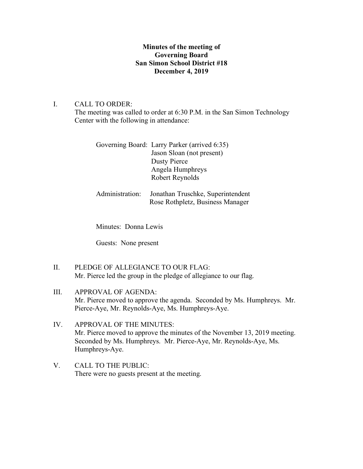## **Minutes of the meeting of Governing Board San Simon School District #18 December 4, 2019**

## I. CALL TO ORDER:

The meeting was called to order at 6:30 P.M. in the San Simon Technology Center with the following in attendance:

| Governing Board: Larry Parker (arrived 6:35) |
|----------------------------------------------|
| Jason Sloan (not present)                    |
| Dusty Pierce                                 |
| Angela Humphreys                             |
| Robert Reynolds                              |
|                                              |

# Administration: Jonathan Truschke, Superintendent Rose Rothpletz, Business Manager

Minutes: Donna Lewis

Guests: None present

- II. PLEDGE OF ALLEGIANCE TO OUR FLAG: Mr. Pierce led the group in the pledge of allegiance to our flag.
- III. APPROVAL OF AGENDA: Mr. Pierce moved to approve the agenda. Seconded by Ms. Humphreys. Mr. Pierce-Aye, Mr. Reynolds-Aye, Ms. Humphreys-Aye.
- IV. APPROVAL OF THE MINUTES: Mr. Pierce moved to approve the minutes of the November 13, 2019 meeting. Seconded by Ms. Humphreys. Mr. Pierce-Aye, Mr. Reynolds-Aye, Ms. Humphreys-Aye.
- V. CALL TO THE PUBLIC: There were no guests present at the meeting.